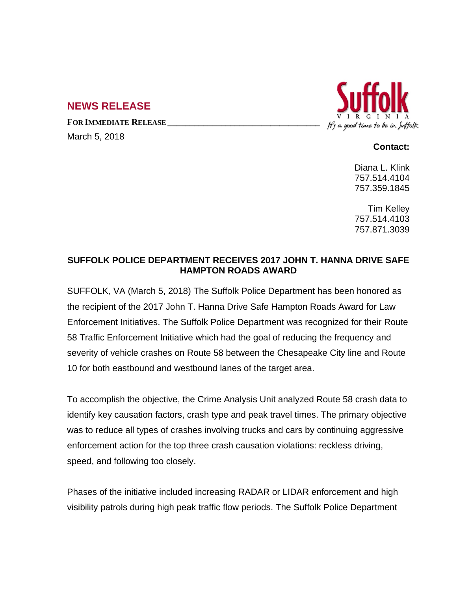## **NEWS RELEASE**

**FOR IMMEDIATE RELEASE \_\_\_\_\_\_\_\_\_\_\_\_\_\_\_\_\_\_\_\_\_\_\_\_\_\_\_\_\_\_\_\_\_\_**

March 5, 2018



## **Contact:**

Diana L. Klink 757.514.4104 757.359.1845

Tim Kelley 757.514.4103 757.871.3039

## **SUFFOLK POLICE DEPARTMENT RECEIVES 2017 JOHN T. HANNA DRIVE SAFE HAMPTON ROADS AWARD**

SUFFOLK, VA (March 5, 2018) The Suffolk Police Department has been honored as the recipient of the 2017 John T. Hanna Drive Safe Hampton Roads Award for Law Enforcement Initiatives. The Suffolk Police Department was recognized for their Route 58 Traffic Enforcement Initiative which had the goal of reducing the frequency and severity of vehicle crashes on Route 58 between the Chesapeake City line and Route 10 for both eastbound and westbound lanes of the target area.

To accomplish the objective, the Crime Analysis Unit analyzed Route 58 crash data to identify key causation factors, crash type and peak travel times. The primary objective was to reduce all types of crashes involving trucks and cars by continuing aggressive enforcement action for the top three crash causation violations: reckless driving, speed, and following too closely.

Phases of the initiative included increasing RADAR or LIDAR enforcement and high visibility patrols during high peak traffic flow periods. The Suffolk Police Department